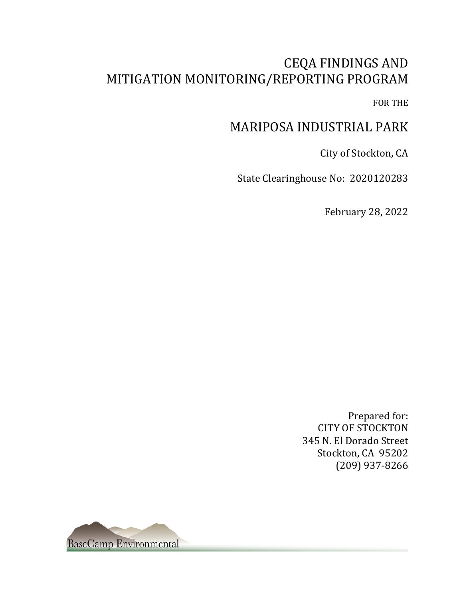# **CEQA FINDINGS AND** MITIGATION MONITORING/REPORTING PROGRAM

FOR THE

## MARIPOSA INDUSTRIAL PARK

City of Stockton, CA

State Clearinghouse No: 2020120283

February 28, 2022

Prepared for: **CITY OF STOCKTON** 345 N. El Dorado Street Stockton, CA 95202 (209) 937-8266

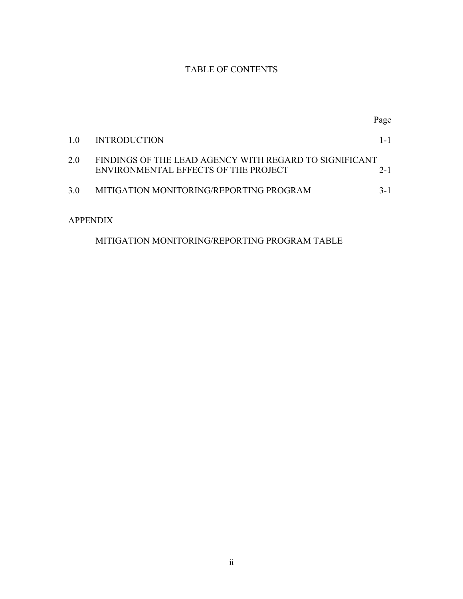### TABLE OF CONTENTS

|     |                                                                                                | Page    |
|-----|------------------------------------------------------------------------------------------------|---------|
| 1.0 | <b>INTRODUCTION</b>                                                                            | $1 - 1$ |
| 2.0 | FINDINGS OF THE LEAD AGENCY WITH REGARD TO SIGNIFICANT<br>ENVIRONMENTAL EFFECTS OF THE PROJECT | $2 - 1$ |
| 3.0 | MITIGATION MONITORING/REPORTING PROGRAM                                                        | $3-1$   |
|     | <b>APPENDIX</b>                                                                                |         |

### MITIGATION MONITORING/REPORTING PROGRAM TABLE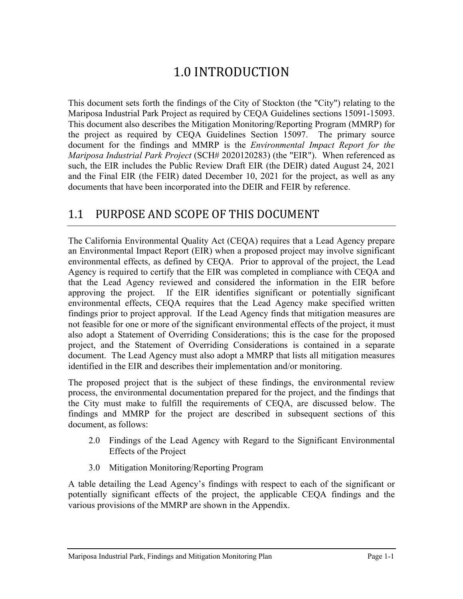# 1.0 INTRODUCTION

This document sets forth the findings of the City of Stockton (the "City") relating to the Mariposa Industrial Park Project as required by CEQA Guidelines sections 15091-15093. This document also describes the Mitigation Monitoring/Reporting Program (MMRP) for the project as required by CEQA Guidelines Section 15097. The primary source document for the findings and MMRP is the *Environmental Impact Report for the Mariposa Industrial Park Project* (SCH# 2020120283) (the "EIR"). When referenced as such, the EIR includes the Public Review Draft EIR (the DEIR) dated August 24, 2021 and the Final EIR (the FEIR) dated December 10, 2021 for the project, as well as any documents that have been incorporated into the DEIR and FEIR by reference.

### 1.1 PURPOSE AND SCOPE OF THIS DOCUMENT

The California Environmental Quality Act (CEQA) requires that a Lead Agency prepare an Environmental Impact Report (EIR) when a proposed project may involve significant environmental effects, as defined by CEQA. Prior to approval of the project, the Lead Agency is required to certify that the EIR was completed in compliance with CEQA and that the Lead Agency reviewed and considered the information in the EIR before approving the project. If the EIR identifies significant or potentially significant environmental effects, CEQA requires that the Lead Agency make specified written findings prior to project approval. If the Lead Agency finds that mitigation measures are not feasible for one or more of the significant environmental effects of the project, it must also adopt a Statement of Overriding Considerations; this is the case for the proposed project, and the Statement of Overriding Considerations is contained in a separate document. The Lead Agency must also adopt a MMRP that lists all mitigation measures identified in the EIR and describes their implementation and/or monitoring.

The proposed project that is the subject of these findings, the environmental review process, the environmental documentation prepared for the project, and the findings that the City must make to fulfill the requirements of CEQA, are discussed below. The findings and MMRP for the project are described in subsequent sections of this document, as follows:

- 2.0 Findings of the Lead Agency with Regard to the Significant Environmental Effects of the Project
- 3.0 Mitigation Monitoring/Reporting Program

A table detailing the Lead Agency's findings with respect to each of the significant or potentially significant effects of the project, the applicable CEQA findings and the various provisions of the MMRP are shown in the Appendix.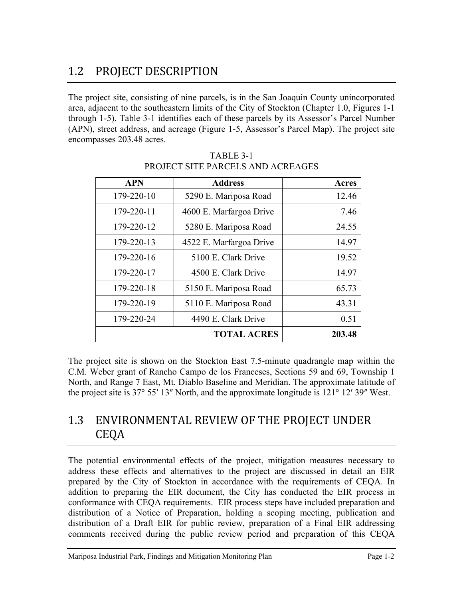# 1.2 PROJECT DESCRIPTION

The project site, consisting of nine parcels, is in the San Joaquin County unincorporated area, adjacent to the southeastern limits of the City of Stockton (Chapter 1.0, Figures 1-1 through 1-5). Table 3-1 identifies each of these parcels by its Assessor's Parcel Number (APN), street address, and acreage (Figure 1-5, Assessor's Parcel Map). The project site encompasses 203.48 acres.

| <b>APN</b> | <b>Address</b>          | <b>Acres</b> |
|------------|-------------------------|--------------|
| 179-220-10 | 5290 E. Mariposa Road   | 12.46        |
| 179-220-11 | 4600 E. Marfargoa Drive | 7.46         |
| 179-220-12 | 5280 E. Mariposa Road   | 24.55        |
| 179-220-13 | 4522 E. Marfargoa Drive | 14.97        |
| 179-220-16 | 5100 E. Clark Drive     | 19.52        |
| 179-220-17 | 4500 E. Clark Drive     | 14.97        |
| 179-220-18 | 5150 E. Mariposa Road   | 65.73        |
| 179-220-19 | 5110 E. Mariposa Road   | 43.31        |
| 179-220-24 | 4490 E. Clark Drive     | 0.51         |
|            | <b>TOTAL ACRES</b>      | 203.48       |

### TABLE 3-1 PROJECT SITE PARCELS AND ACREAGES

The project site is shown on the Stockton East 7.5-minute quadrangle map within the C.M. Weber grant of Rancho Campo de los Franceses, Sections 59 and 69, Township 1 North, and Range 7 East, Mt. Diablo Baseline and Meridian. The approximate latitude of the project site is  $37^{\circ}$  55' 13" North, and the approximate longitude is  $121^{\circ}$  12' 39" West.

### 1.3 ENVIRONMENTAL REVIEW OF THE PROJECT UNDER CEQA

The potential environmental effects of the project, mitigation measures necessary to address these effects and alternatives to the project are discussed in detail an EIR prepared by the City of Stockton in accordance with the requirements of CEQA. In addition to preparing the EIR document, the City has conducted the EIR process in conformance with CEQA requirements. EIR process steps have included preparation and distribution of a Notice of Preparation, holding a scoping meeting, publication and distribution of a Draft EIR for public review, preparation of a Final EIR addressing comments received during the public review period and preparation of this CEQA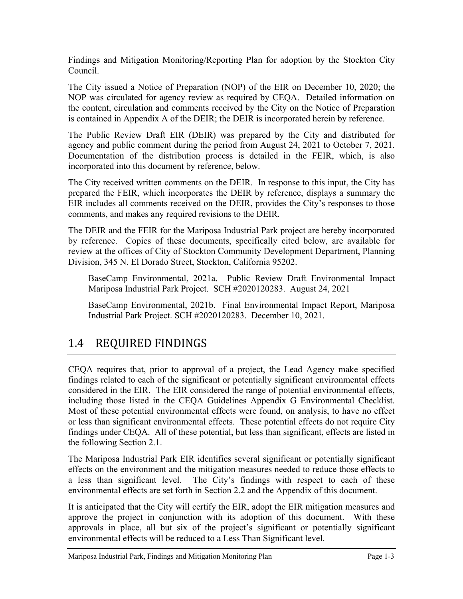Findings and Mitigation Monitoring/Reporting Plan for adoption by the Stockton City Council.

The City issued a Notice of Preparation (NOP) of the EIR on December 10, 2020; the NOP was circulated for agency review as required by CEQA. Detailed information on the content, circulation and comments received by the City on the Notice of Preparation is contained in Appendix A of the DEIR; the DEIR is incorporated herein by reference.

The Public Review Draft EIR (DEIR) was prepared by the City and distributed for agency and public comment during the period from August 24, 2021 to October 7, 2021. Documentation of the distribution process is detailed in the FEIR, which, is also incorporated into this document by reference, below.

The City received written comments on the DEIR. In response to this input, the City has prepared the FEIR, which incorporates the DEIR by reference, displays a summary the EIR includes all comments received on the DEIR, provides the City's responses to those comments, and makes any required revisions to the DEIR.

The DEIR and the FEIR for the Mariposa Industrial Park project are hereby incorporated by reference. Copies of these documents, specifically cited below, are available for review at the offices of City of Stockton Community Development Department, Planning Division, 345 N. El Dorado Street, Stockton, California 95202.

BaseCamp Environmental, 2021a. Public Review Draft Environmental Impact Mariposa Industrial Park Project. SCH #2020120283. August 24, 2021

BaseCamp Environmental, 2021b. Final Environmental Impact Report, Mariposa Industrial Park Project. SCH #2020120283. February 28, 2022.

## 1.4 REQUIRED FINDINGS

CEQA requires that, prior to approval of a project, the Lead Agency make specified findings related to each of the significant or potentially significant environmental effects considered in the EIR. The EIR considered the range of potential environmental effects, including those listed in the CEQA Guidelines Appendix G Environmental Checklist. Most of these potential environmental effects were found, on analysis, to have no effect or less than significant environmental effects. These potential effects do not require City findings under CEQA. All of these potential, but less than significant, effects are listed in the following Section 2.1.

The Mariposa Industrial Park EIR identifies several significant or potentially significant effects on the environment and the mitigation measures needed to reduce those effects to a less than significant level. The City's findings with respect to each of these environmental effects are set forth in Section 2.2 and the Appendix of this document.

It is anticipated that the City will certify the EIR, adopt the EIR mitigation measures and approve the project in conjunction with its adoption of this document. With these approvals in place, all but six of the project's significant or potentially significant environmental effects will be reduced to a Less Than Significant level.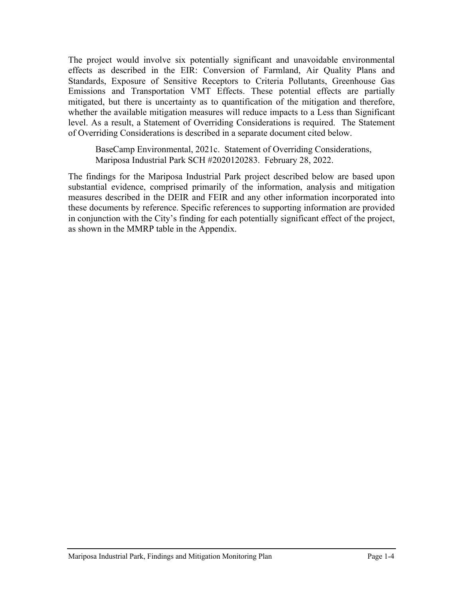The project would involve six potentially significant and unavoidable environmental effects as described in the EIR: Conversion of Farmland, Air Quality Plans and Standards, Exposure of Sensitive Receptors to Criteria Pollutants, Greenhouse Gas Emissions and Transportation VMT Effects. These potential effects are partially mitigated, but there is uncertainty as to quantification of the mitigation and therefore, whether the available mitigation measures will reduce impacts to a Less than Significant level. As a result, a Statement of Overriding Considerations is required. The Statement of Overriding Considerations is described in a separate document cited below.

BaseCamp Environmental, 2021c. Statement of Overriding Considerations, Mariposa Industrial Park SCH #2020120283. February 28, 2022.

The findings for the Mariposa Industrial Park project described below are based upon substantial evidence, comprised primarily of the information, analysis and mitigation measures described in the DEIR and FEIR and any other information incorporated into these documents by reference. Specific references to supporting information are provided in conjunction with the City's finding for each potentially significant effect of the project, as shown in the MMRP table in the Appendix.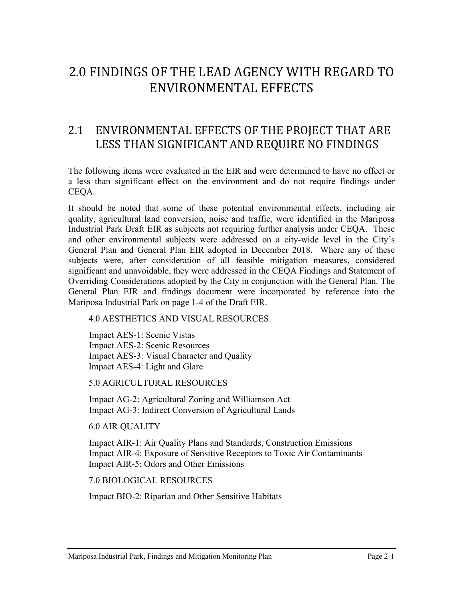# 2.0 FINDINGS OF THE LEAD AGENCY WITH REGARD TO ENVIRONMENTAL EFFECTS

### 2.1 ENVIRONMENTAL EFFECTS OF THE PROJECT THAT ARE LESS THAN SIGNIFICANT AND REQUIRE NO FINDINGS

The following items were evaluated in the EIR and were determined to have no effect or a less than significant effect on the environment and do not require findings under CEQA.

It should be noted that some of these potential environmental effects, including air quality, agricultural land conversion, noise and traffic, were identified in the Mariposa Industrial Park Draft EIR as subjects not requiring further analysis under CEQA. These and other environmental subjects were addressed on a city-wide level in the City's General Plan and General Plan EIR adopted in December 2018. Where any of these subjects were, after consideration of all feasible mitigation measures, considered significant and unavoidable, they were addressed in the CEQA Findings and Statement of Overriding Considerations adopted by the City in conjunction with the General Plan. The General Plan EIR and findings document were incorporated by reference into the Mariposa Industrial Park on page 1-4 of the Draft EIR.

4.0 AESTHETICS AND VISUAL RESOURCES

Impact AES-1: Scenic Vistas Impact AES-2: Scenic Resources Impact AES-3: Visual Character and Quality Impact AES-4: Light and Glare

5.0 AGRICULTURAL RESOURCES

Impact AG-2: Agricultural Zoning and Williamson Act Impact AG-3: Indirect Conversion of Agricultural Lands

6.0 AIR QUALITY

Impact AIR-1: Air Quality Plans and Standards, Construction Emissions Impact AIR-4: Exposure of Sensitive Receptors to Toxic Air Contaminants Impact AIR-5: Odors and Other Emissions

7.0 BIOLOGICAL RESOURCES

Impact BIO-2: Riparian and Other Sensitive Habitats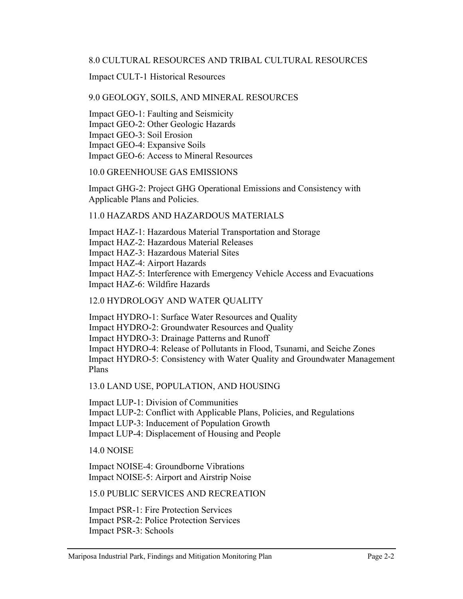#### 8.0 CULTURAL RESOURCES AND TRIBAL CULTURAL RESOURCES

Impact CULT-1 Historical Resources

#### 9.0 GEOLOGY, SOILS, AND MINERAL RESOURCES

Impact GEO-1: Faulting and Seismicity Impact GEO-2: Other Geologic Hazards Impact GEO-3: Soil Erosion Impact GEO-4: Expansive Soils Impact GEO-6: Access to Mineral Resources

#### 10.0 GREENHOUSE GAS EMISSIONS

Impact GHG-2: Project GHG Operational Emissions and Consistency with Applicable Plans and Policies.

#### 11.0 HAZARDS AND HAZARDOUS MATERIALS

Impact HAZ-1: Hazardous Material Transportation and Storage

Impact HAZ-2: Hazardous Material Releases

Impact HAZ-3: Hazardous Material Sites

Impact HAZ-4: Airport Hazards

Impact HAZ-5: Interference with Emergency Vehicle Access and Evacuations Impact HAZ-6: Wildfire Hazards

#### 12.0 HYDROLOGY AND WATER QUALITY

Impact HYDRO-1: Surface Water Resources and Quality Impact HYDRO-2: Groundwater Resources and Quality Impact HYDRO-3: Drainage Patterns and Runoff Impact HYDRO-4: Release of Pollutants in Flood, Tsunami, and Seiche Zones Impact HYDRO-5: Consistency with Water Quality and Groundwater Management Plans

13.0 LAND USE, POPULATION, AND HOUSING

Impact LUP-1: Division of Communities Impact LUP-2: Conflict with Applicable Plans, Policies, and Regulations Impact LUP-3: Inducement of Population Growth Impact LUP-4: Displacement of Housing and People

14.0 NOISE

Impact NOISE-4: Groundborne Vibrations Impact NOISE-5: Airport and Airstrip Noise

15.0 PUBLIC SERVICES AND RECREATION

Impact PSR-1: Fire Protection Services Impact PSR-2: Police Protection Services Impact PSR-3: Schools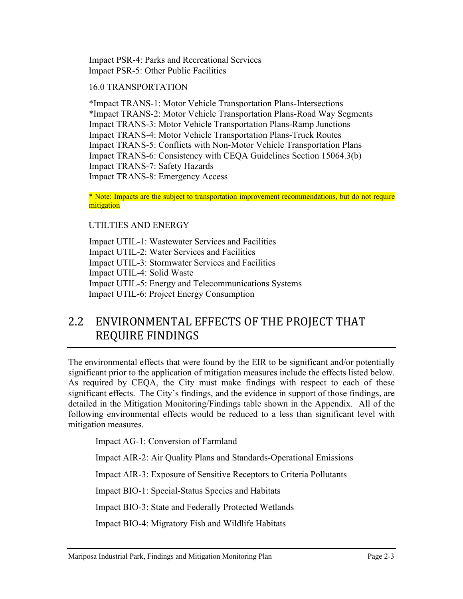Impact PSR-4: Parks and Recreational Services Impact PSR-5: Other Public Facilities

#### 16.0 TRANSPORTATION

\*Impact TRANS-1: Motor Vehicle Transportation Plans-Intersections \*Impact TRANS-2: Motor Vehicle Transportation Plans-Road Way Segments Impact TRANS-3: Motor Vehicle Transportation Plans-Ramp Junctions Impact TRANS-4: Motor Vehicle Transportation Plans-Truck Routes Impact TRANS-5: Conflicts with Non-Motor Vehicle Transportation Plans Impact TRANS-7: Safety Hazards Impact TRANS-8: Emergency Access

\*Note: Impacts are the subject to transportation improvement recommendations, but do not require mitigation

#### UTILTIES AND ENERGY

Impact UTIL-1: Wastewater Services and Facilities Impact UTIL-2: Water Services and Facilities Impact UTIL-3: Stormwater Services and Facilities Impact UTIL-4: Solid Waste Impact UTIL-5: Energy and Telecommunications Systems Impact UTIL-6: Project Energy Consumption

## 2.2 ENVIRONMENTAL EFFECTS OF THE PROJECT THAT REQUIRE FINDINGS

The environmental effects that were found by the EIR to be significant and/or potentially significant prior to the application of mitigation measures include the effects listed below. As required by CEQA, the City must make findings with respect to each of these significant effects. The City's findings, and the evidence in support of those findings, are detailed in the Mitigation Monitoring/Findings table shown in the Appendix. All of the following environmental effects would be reduced to a less than significant level with mitigation measures.

Impact BIO-1: Special-Status Species and Habitats

Impact BIO-3: State and Federally Protected Wetlands

Impact BIO-4: Migratory Fish and Wildlife Habitats

Impact BIO-5: Local Biological Requirements

Impact BIO-6: Habitat Conservation Plans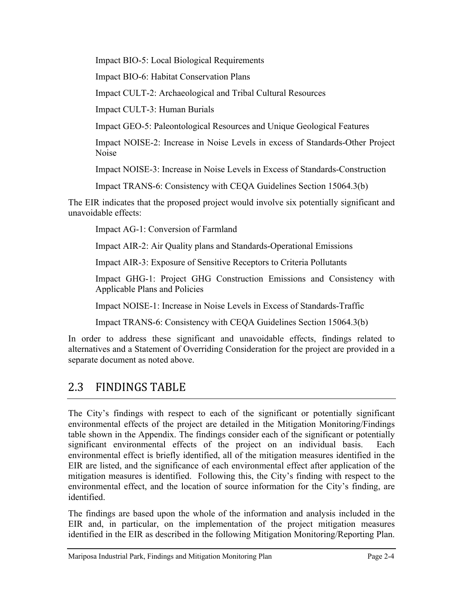Impact CULT-2: Archaeological and Tribal Cultural Resources

Impact CULT-3: Human Burials

Impact GEO-5: Paleontological Resources and Unique Geological Features

Impact NOISE-2: Increase in Noise Levels in excess of Standards-Other Project Noise

Impact NOISE-3: Increase in Noise Levels in Excess of Standards-Construction

The EIR indicates that the proposed project would involve six potentially significant and unavoidable effects:

Impact AG-1: Conversion of Farmland

Impact AIR-2: Air Quality plans and Standards-Operational Emissions

Impact AIR-3: Exposure of Sensitive Receptors to Criteria Pollutants

Impact GHG-1: Project GHG Construction Emissions and Consistency with Applicable Plans and Policies

Impact NOISE-1: Increase in Noise Levels in Excess of Standards-Traffic

Impact TRANS-6: Consistency with CEQA Guidelines Section 15064.3(b)

In order to address these significant and unavoidable effects, findings related to alternatives and a Statement of Overriding Consideration for the project are provided in a separate document as noted above.

## 2.3 FINDINGS TABLE

The City's findings with respect to each of the significant or potentially significant environmental effects of the project are detailed in the Mitigation Monitoring/Findings table shown in the Appendix. The findings consider each of the significant or potentially significant environmental effects of the project on an individual basis. Each environmental effect is briefly identified, all of the mitigation measures identified in the EIR are listed, and the significance of each environmental effect after application of the mitigation measures is identified. Following this, the City's finding with respect to the environmental effect, and the location of source information for the City's finding, are identified.

The findings are based upon the whole of the information and analysis included in the EIR and, in particular, on the implementation of the project mitigation measures identified in the EIR as described in the following Mitigation Monitoring/Reporting Plan.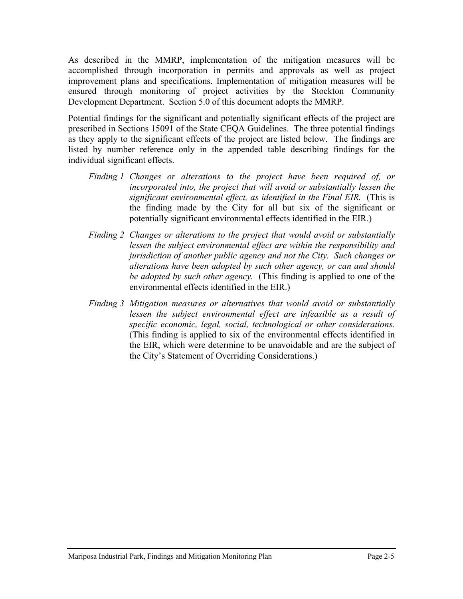As described in the MMRP, implementation of the mitigation measures will be accomplished through incorporation in permits and approvals as well as project improvement plans and specifications. Implementation of mitigation measures will be ensured through monitoring of project activities by the Stockton Community Development Department. Section 5.0 of this document adopts the MMRP.

Potential findings for the significant and potentially significant effects of the project are prescribed in Sections 15091 of the State CEQA Guidelines. The three potential findings as they apply to the significant effects of the project are listed below. The findings are listed by number reference only in the appended table describing findings for the individual significant effects.

- *Finding 1 Changes or alterations to the project have been required of, or incorporated into, the project that will avoid or substantially lessen the significant environmental effect, as identified in the Final EIR.* (This is the finding made by the City for all but six of the significant or potentially significant environmental effects identified in the EIR.)
- *Finding 2 Changes or alterations to the project that would avoid or substantially lessen the subject environmental effect are within the responsibility and jurisdiction of another public agency and not the City. Such changes or alterations have been adopted by such other agency, or can and should be adopted by such other agency.* (This finding is not applied to any of the environmental effects identified in the EIR.)
- *Finding 3 Mitigation measures or alternatives that would avoid or substantially lessen the subject environmental effect are infeasible as a result of specific economic, legal, social, technological or other considerations.*  (This finding is applied to six of the environmental effects identified in the EIR, which were determine to be unavoidable and are the subject of the City's Statement of Overriding Considerations.)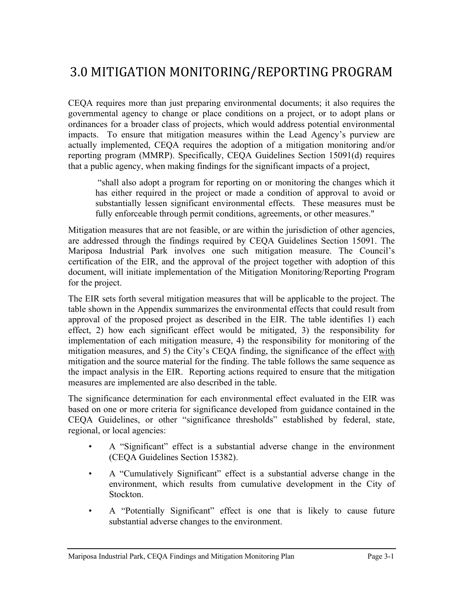# 3.0 MITIGATION MONITORING/REPORTING PROGRAM

CEQA requires more than just preparing environmental documents; it also requires the governmental agency to change or place conditions on a project, or to adopt plans or ordinances for a broader class of projects, which would address potential environmental impacts. To ensure that mitigation measures within the Lead Agency's purview are actually implemented, CEQA requires the adoption of a mitigation monitoring and/or reporting program (MMRP). Specifically, CEQA Guidelines Section 15091(d) requires that a public agency, when making findings for the significant impacts of a project,

"shall also adopt a program for reporting on or monitoring the changes which it has either required in the project or made a condition of approval to avoid or substantially lessen significant environmental effects. These measures must be fully enforceable through permit conditions, agreements, or other measures."

Mitigation measures that are not feasible, or are within the jurisdiction of other agencies, are addressed through the findings required by CEQA Guidelines Section 15091. The Mariposa Industrial Park involves one such mitigation measure. The Council's certification of the EIR, and the approval of the project together with adoption of this document, will initiate implementation of the Mitigation Monitoring/Reporting Program for the project.

The EIR sets forth several mitigation measures that will be applicable to the project. The table shown in the Appendix summarizes the environmental effects that could result from approval of the proposed project as described in the EIR. The table identifies 1) each effect, 2) how each significant effect would be mitigated, 3) the responsibility for implementation of each mitigation measure, 4) the responsibility for monitoring of the mitigation measures, and 5) the City's CEQA finding, the significance of the effect with mitigation and the source material for the finding. The table follows the same sequence as the impact analysis in the EIR. Reporting actions required to ensure that the mitigation measures are implemented are also described in the table.

The significance determination for each environmental effect evaluated in the EIR was based on one or more criteria for significance developed from guidance contained in the CEQA Guidelines, or other "significance thresholds" established by federal, state, regional, or local agencies:

- A "Significant" effect is a substantial adverse change in the environment (CEQA Guidelines Section 15382).
- A "Cumulatively Significant" effect is a substantial adverse change in the environment, which results from cumulative development in the City of Stockton.
- A "Potentially Significant" effect is one that is likely to cause future substantial adverse changes to the environment.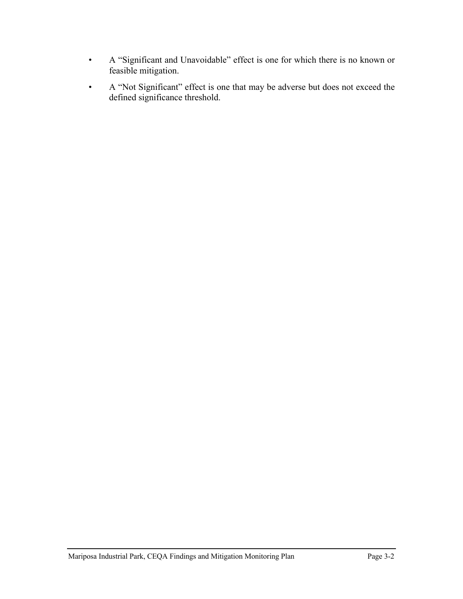- A "Significant and Unavoidable" effect is one for which there is no known or feasible mitigation.
- A "Not Significant" effect is one that may be adverse but does not exceed the defined significance threshold.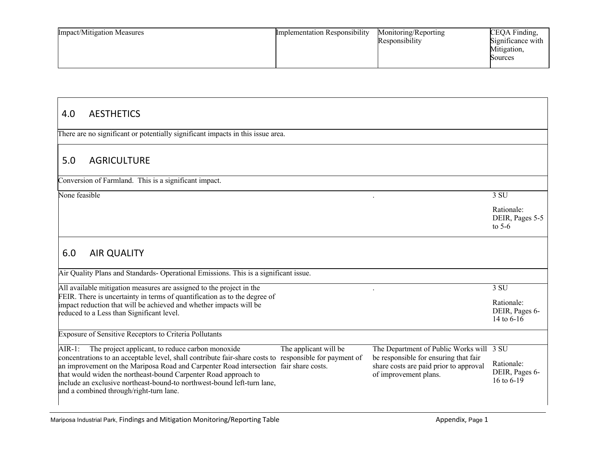| <b>Impact/Mitigation Measures</b> | <b>Implementation Responsibility</b> | Monitoring/Reporting<br>Responsibility | CEQA Finding,<br>Significance with<br>Mitigation,<br>Sources |
|-----------------------------------|--------------------------------------|----------------------------------------|--------------------------------------------------------------|
|-----------------------------------|--------------------------------------|----------------------------------------|--------------------------------------------------------------|

| <b>AESTHETICS</b><br>4.0                                                                                                                                                                                                                                                                                                                                                                                                                                                                                 |                                                                                                                                                                             |
|----------------------------------------------------------------------------------------------------------------------------------------------------------------------------------------------------------------------------------------------------------------------------------------------------------------------------------------------------------------------------------------------------------------------------------------------------------------------------------------------------------|-----------------------------------------------------------------------------------------------------------------------------------------------------------------------------|
| There are no significant or potentially significant impacts in this issue area.                                                                                                                                                                                                                                                                                                                                                                                                                          |                                                                                                                                                                             |
| <b>AGRICULTURE</b><br>5.0                                                                                                                                                                                                                                                                                                                                                                                                                                                                                |                                                                                                                                                                             |
| Conversion of Farmland. This is a significant impact.                                                                                                                                                                                                                                                                                                                                                                                                                                                    |                                                                                                                                                                             |
| None feasible                                                                                                                                                                                                                                                                                                                                                                                                                                                                                            | 3 SU                                                                                                                                                                        |
|                                                                                                                                                                                                                                                                                                                                                                                                                                                                                                          | Rationale:<br>DEIR, Pages 5-5<br>to $5-6$                                                                                                                                   |
| 6.0<br><b>AIR QUALITY</b>                                                                                                                                                                                                                                                                                                                                                                                                                                                                                |                                                                                                                                                                             |
| Air Quality Plans and Standards- Operational Emissions. This is a significant issue.                                                                                                                                                                                                                                                                                                                                                                                                                     |                                                                                                                                                                             |
| All available mitigation measures are assigned to the project in the<br>FEIR. There is uncertainty in terms of quantification as to the degree of<br>impact reduction that will be achieved and whether impacts will be<br>reduced to a Less than Significant level.                                                                                                                                                                                                                                     | 3 SU<br>Rationale:<br>DEIR, Pages 6-<br>14 to $6-16$                                                                                                                        |
| Exposure of Sensitive Receptors to Criteria Pollutants                                                                                                                                                                                                                                                                                                                                                                                                                                                   |                                                                                                                                                                             |
| The applicant will be<br>The project applicant, to reduce carbon monoxide<br>AIR-1:<br>concentrations to an acceptable level, shall contribute fair-share costs to responsible for payment of<br>an improvement on the Mariposa Road and Carpenter Road intersection fair share costs.<br>that would widen the northeast-bound Carpenter Road approach to<br>of improvement plans.<br>include an exclusive northeast-bound-to northwest-bound left-turn lane,<br>and a combined through/right-turn lane. | The Department of Public Works will 3 SU<br>be responsible for ensuring that fair<br>Rationale:<br>share costs are paid prior to approval<br>DEIR, Pages 6-<br>16 to $6-19$ |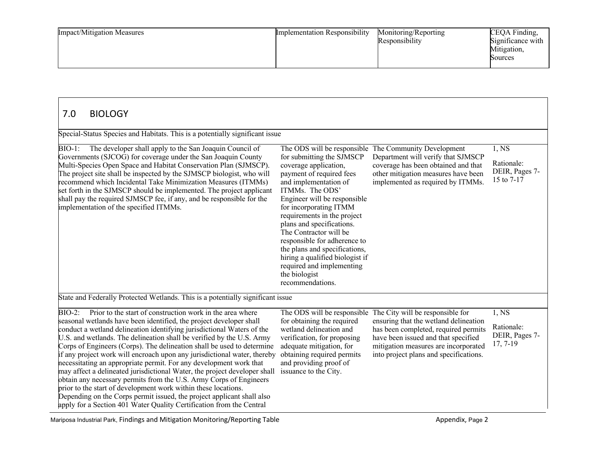| <b>Impact/Mitigation Measures</b> | <b>Implementation Responsibility</b> | Monitoring/Reporting<br>Responsibility | CEQA Finding,<br>Significance with<br>Mitigation,<br>Sources |
|-----------------------------------|--------------------------------------|----------------------------------------|--------------------------------------------------------------|
|-----------------------------------|--------------------------------------|----------------------------------------|--------------------------------------------------------------|

| Special-Status Species and Habitats. This is a potentially significant issue                                                                                                                                                                                                                                                                                                                                                                                                                                                                                                                                                                                                                                                                                                                                                                                                                        |                                                                                                                                                                                                                                                                                                                                                                                                                                                  |                                                                                                                                                                                                                                            |                                                    |
|-----------------------------------------------------------------------------------------------------------------------------------------------------------------------------------------------------------------------------------------------------------------------------------------------------------------------------------------------------------------------------------------------------------------------------------------------------------------------------------------------------------------------------------------------------------------------------------------------------------------------------------------------------------------------------------------------------------------------------------------------------------------------------------------------------------------------------------------------------------------------------------------------------|--------------------------------------------------------------------------------------------------------------------------------------------------------------------------------------------------------------------------------------------------------------------------------------------------------------------------------------------------------------------------------------------------------------------------------------------------|--------------------------------------------------------------------------------------------------------------------------------------------------------------------------------------------------------------------------------------------|----------------------------------------------------|
| The developer shall apply to the San Joaquin Council of<br>BIO-1:<br>Governments (SJCOG) for coverage under the San Joaquin County<br>Multi-Species Open Space and Habitat Conservation Plan (SJMSCP).<br>The project site shall be inspected by the SJMSCP biologist, who will<br>recommend which Incidental Take Minimization Measures (ITMMs)<br>set forth in the SJMSCP should be implemented. The project applicant<br>shall pay the required SJMSCP fee, if any, and be responsible for the<br>implementation of the specified ITMMs.                                                                                                                                                                                                                                                                                                                                                         | for submitting the SJMSCP<br>coverage application,<br>payment of required fees<br>and implementation of<br>ITMMs. The ODS'<br>Engineer will be responsible<br>for incorporating ITMM<br>requirements in the project<br>plans and specifications.<br>The Contractor will be<br>responsible for adherence to<br>the plans and specifications,<br>hiring a qualified biologist if<br>required and implementing<br>the biologist<br>recommendations. | The ODS will be responsible The Community Development<br>Department will verify that SJMSCP<br>coverage has been obtained and that<br>other mitigation measures have been<br>implemented as required by ITMMs.                             | 1,NS<br>Rationale:<br>DEIR, Pages 7-<br>15 to 7-17 |
| State and Federally Protected Wetlands. This is a potentially significant issue                                                                                                                                                                                                                                                                                                                                                                                                                                                                                                                                                                                                                                                                                                                                                                                                                     |                                                                                                                                                                                                                                                                                                                                                                                                                                                  |                                                                                                                                                                                                                                            |                                                    |
| Prior to the start of construction work in the area where<br>$BIO-2$ :<br>seasonal wetlands have been identified, the project developer shall<br>conduct a wetland delineation identifying jurisdictional Waters of the<br>U.S. and wetlands. The delineation shall be verified by the U.S. Army<br>Corps of Engineers (Corps). The delineation shall be used to determine<br>if any project work will encroach upon any jurisdictional water, thereby<br>necessitating an appropriate permit. For any development work that<br>may affect a delineated jurisdictional Water, the project developer shall<br>obtain any necessary permits from the U.S. Army Corps of Engineers<br>prior to the start of development work within these locations.<br>Depending on the Corps permit issued, the project applicant shall also<br>apply for a Section 401 Water Quality Certification from the Central | The ODS will be responsible<br>for obtaining the required<br>wetland delineation and<br>verification, for proposing<br>adequate mitigation, for<br>obtaining required permits<br>and providing proof of<br>issuance to the City.                                                                                                                                                                                                                 | The City will be responsible for<br>ensuring that the wetland delineation<br>has been completed, required permits<br>have been issued and that specified<br>mitigation measures are incorporated<br>into project plans and specifications. | 1, NS<br>Rationale:<br>DEIR, Pages 7-<br>17, 7-19  |

Mariposa Industrial Park, Findings and Mitigation Monitoring/Reporting Table Appendix, Page 2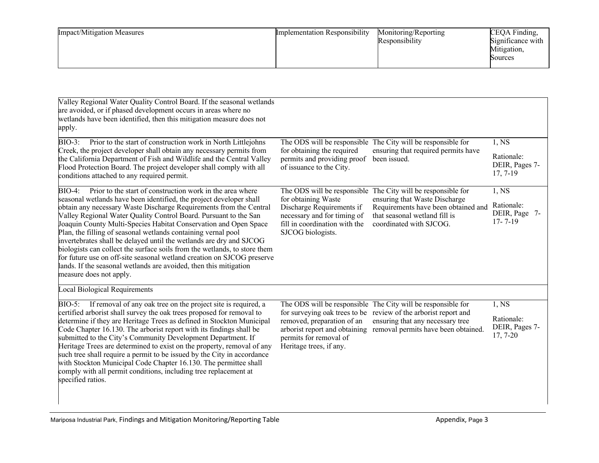| <b>Impact/Mitigation Measures</b> | <b>Implementation Responsibility</b> | Monitoring/Reporting<br>Responsibility | CEQA Finding,<br>Significance with<br>Mitigation,<br>Sources |
|-----------------------------------|--------------------------------------|----------------------------------------|--------------------------------------------------------------|
|-----------------------------------|--------------------------------------|----------------------------------------|--------------------------------------------------------------|

| Valley Regional Water Quality Control Board. If the seasonal wetlands<br>are avoided, or if phased development occurs in areas where no<br>wetlands have been identified, then this mitigation measure does not<br>apply.                                                                                                                                                                                                                                                                                                                                                                                                                                                                                                                                      |                                                                                                                                                   |                                                                                                                                                                                                  |                                                      |
|----------------------------------------------------------------------------------------------------------------------------------------------------------------------------------------------------------------------------------------------------------------------------------------------------------------------------------------------------------------------------------------------------------------------------------------------------------------------------------------------------------------------------------------------------------------------------------------------------------------------------------------------------------------------------------------------------------------------------------------------------------------|---------------------------------------------------------------------------------------------------------------------------------------------------|--------------------------------------------------------------------------------------------------------------------------------------------------------------------------------------------------|------------------------------------------------------|
| Prior to the start of construction work in North Littlejohns<br>$BIO-3:$<br>Creek, the project developer shall obtain any necessary permits from                                                                                                                                                                                                                                                                                                                                                                                                                                                                                                                                                                                                               | for obtaining the required                                                                                                                        | The ODS will be responsible The City will be responsible for<br>ensuring that required permits have                                                                                              | 1, NS                                                |
| the California Department of Fish and Wildlife and the Central Valley<br>Flood Protection Board. The project developer shall comply with all<br>conditions attached to any required permit.                                                                                                                                                                                                                                                                                                                                                                                                                                                                                                                                                                    | permits and providing proof<br>of issuance to the City.                                                                                           | been issued.                                                                                                                                                                                     | Rationale:<br>DEIR, Pages 7-<br>$17, 7-19$           |
| Prior to the start of construction work in the area where<br><b>BIO-4:</b><br>seasonal wetlands have been identified, the project developer shall<br>obtain any necessary Waste Discharge Requirements from the Central<br>Valley Regional Water Quality Control Board. Pursuant to the San<br>Joaquin County Multi-Species Habitat Conservation and Open Space<br>Plan, the filling of seasonal wetlands containing vernal pool<br>invertebrates shall be delayed until the wetlands are dry and SJCOG<br>biologists can collect the surface soils from the wetlands, to store them<br>for future use on off-site seasonal wetland creation on SJCOG preserve<br>lands. If the seasonal wetlands are avoided, then this mitigation<br>measure does not apply. | for obtaining Waste<br>Discharge Requirements if<br>necessary and for timing of<br>fill in coordination with the<br>SJCOG biologists.             | The ODS will be responsible The City will be responsible for<br>ensuring that Waste Discharge<br>Requirements have been obtained and<br>that seasonal wetland fill is<br>coordinated with SJCOG. | 1,NS<br>Rationale:<br>DEIR, Page 7-<br>$17 - 7 - 19$ |
| <b>Local Biological Requirements</b>                                                                                                                                                                                                                                                                                                                                                                                                                                                                                                                                                                                                                                                                                                                           |                                                                                                                                                   |                                                                                                                                                                                                  |                                                      |
| BIO-5: If removal of any oak tree on the project site is required, a                                                                                                                                                                                                                                                                                                                                                                                                                                                                                                                                                                                                                                                                                           |                                                                                                                                                   | The ODS will be responsible The City will be responsible for                                                                                                                                     | 1, NS                                                |
| certified arborist shall survey the oak trees proposed for removal to<br>determine if they are Heritage Trees as defined in Stockton Municipal<br>Code Chapter 16.130. The arborist report with its findings shall be<br>submitted to the City's Community Development Department. If<br>Heritage Trees are determined to exist on the property, removal of any<br>such tree shall require a permit to be issued by the City in accordance<br>with Stockton Municipal Code Chapter 16.130. The permittee shall<br>comply with all permit conditions, including tree replacement at<br>specified ratios.                                                                                                                                                        | for surveying oak trees to be<br>removed, preparation of an<br>arborist report and obtaining<br>permits for removal of<br>Heritage trees, if any. | review of the arborist report and<br>ensuring that any necessary tree<br>removal permits have been obtained.                                                                                     | Rationale:<br>DEIR, Pages 7-<br>$17, 7-20$           |
|                                                                                                                                                                                                                                                                                                                                                                                                                                                                                                                                                                                                                                                                                                                                                                |                                                                                                                                                   |                                                                                                                                                                                                  |                                                      |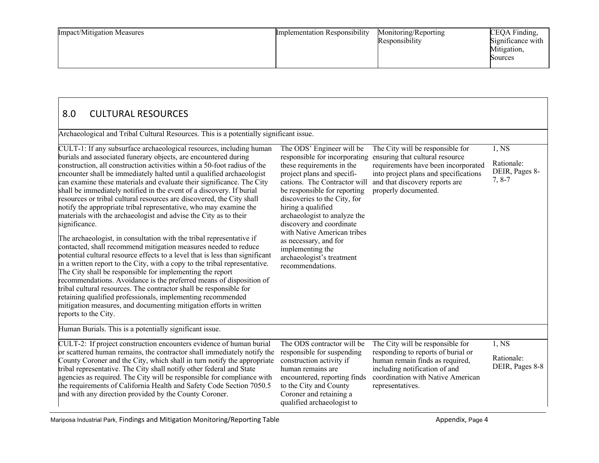| <b>Impact/Mitigation Measures</b> | <b>Implementation Responsibility</b> | Monitoring/Reporting<br>Responsibility | CEQA Finding,<br>Significance with<br>Mitigation,<br>Sources |
|-----------------------------------|--------------------------------------|----------------------------------------|--------------------------------------------------------------|
|-----------------------------------|--------------------------------------|----------------------------------------|--------------------------------------------------------------|

| 8.0<br><b>CULTURAL RESOURCES</b>                                                                                                                                                                                                                                                                                                                                                                                                                                                                                                                                                                                                                                                                                                                                                                                                                                                                                                                                                                                                                                                                                                                                                                                                                                                                                                                                |                                                                                                                                                                                                                                                                                                                                                                                                                                      |                                                                                                                                                                                                               |                                                   |
|-----------------------------------------------------------------------------------------------------------------------------------------------------------------------------------------------------------------------------------------------------------------------------------------------------------------------------------------------------------------------------------------------------------------------------------------------------------------------------------------------------------------------------------------------------------------------------------------------------------------------------------------------------------------------------------------------------------------------------------------------------------------------------------------------------------------------------------------------------------------------------------------------------------------------------------------------------------------------------------------------------------------------------------------------------------------------------------------------------------------------------------------------------------------------------------------------------------------------------------------------------------------------------------------------------------------------------------------------------------------|--------------------------------------------------------------------------------------------------------------------------------------------------------------------------------------------------------------------------------------------------------------------------------------------------------------------------------------------------------------------------------------------------------------------------------------|---------------------------------------------------------------------------------------------------------------------------------------------------------------------------------------------------------------|---------------------------------------------------|
| Archaeological and Tribal Cultural Resources. This is a potentially significant issue.                                                                                                                                                                                                                                                                                                                                                                                                                                                                                                                                                                                                                                                                                                                                                                                                                                                                                                                                                                                                                                                                                                                                                                                                                                                                          |                                                                                                                                                                                                                                                                                                                                                                                                                                      |                                                                                                                                                                                                               |                                                   |
| CULT-1: If any subsurface archaeological resources, including<br>human burials and associated funerary objects, are encountered during<br>construction, all construction activities within a 50-foot radius of the<br>encounter shall be immediately halted until a qualified archaeologist<br>can examine these materials and evaluate their significance. The City<br>shall be immediately notified in the event of a discovery. If burial<br>resources or tribal cultural resources are discovered, the City shall<br>notify the appropriate tribal representative, who may examine the<br>materials with the archaeologist and advise the City as to their<br>significance.<br>The archaeologist, in consultation with the tribal representative if<br>contacted, shall recommend mitigation measures needed to reduce<br>potential cultural resource effects to a level that is less than significant<br>in a written report to the City, with a copy to the tribal representative.<br>The City shall be responsible for implementing the report<br>recommendations. Avoidance is the preferred means of disposition of<br>tribal cultural resources. The contractor shall be responsible for<br>retaining qualified professionals, implementing recommended<br>mitigation measures, and documenting mitigation efforts in written<br>reports to the City. | The ODS' Engineer will be<br>responsible for incorporating<br>these requirements in the<br>project plans and specifi-<br>cations. The Contractor will<br>be responsible for reporting<br>discoveries to the City, for<br>hiring a qualified<br>archaeologist to analyze the<br>discovery and coordinate<br>with Native American tribes<br>as necessary, and for<br>implementing the<br>archaeologist's treatment<br>recommendations. | The City will be responsible for<br>ensuring that cultural resource<br>requirements have been incorporated<br>into project plans and specifications<br>and that discovery reports are<br>properly documented. | 1, NS<br>Rationale:<br>DEIR, Pages 8-<br>$7, 8-7$ |
| Human Burials. This is a potentially significant issue.                                                                                                                                                                                                                                                                                                                                                                                                                                                                                                                                                                                                                                                                                                                                                                                                                                                                                                                                                                                                                                                                                                                                                                                                                                                                                                         |                                                                                                                                                                                                                                                                                                                                                                                                                                      |                                                                                                                                                                                                               |                                                   |
| CULT-2: If project construction encounters evidence of human burial<br>or scattered human remains, the contractor shall immediately notify the<br>County Coroner and the City, which shall in turn notify the appropriate<br>tribal representative. The City shall notify other federal and State<br>agencies as required. The City will be responsible for compliance with<br>the requirements of California Health and Safety Code Section 7050.5<br>and with any direction provided by the County Coroner.                                                                                                                                                                                                                                                                                                                                                                                                                                                                                                                                                                                                                                                                                                                                                                                                                                                   | The ODS contractor will be<br>responsible for suspending<br>construction activity if<br>human remains are<br>encountered, reporting finds<br>to the City and County<br>Coroner and retaining a<br>qualified archaeologist to                                                                                                                                                                                                         | The City will be responsible for<br>responding to reports of burial or<br>human remain finds as required,<br>including notification of and<br>coordination with Native American<br>representatives.           | 1,NS<br>Rationale:<br>DEIR, Pages 8-8             |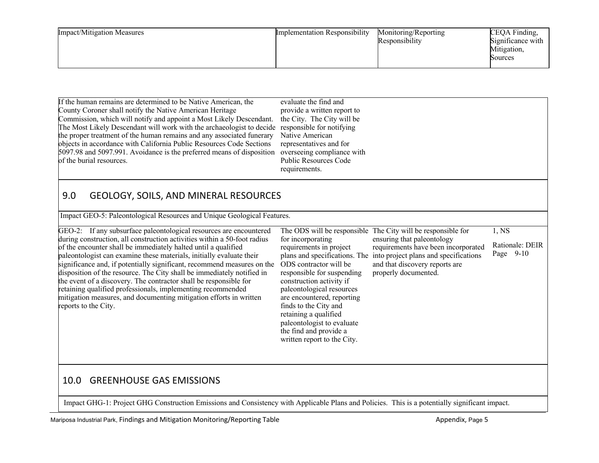| <b>Impact/Mitigation Measures</b> | <b>Implementation Responsibility</b> | Monitoring/Reporting<br>Responsibility | CEQA Finding,<br>Significance with<br>Mitigation,<br>Sources |
|-----------------------------------|--------------------------------------|----------------------------------------|--------------------------------------------------------------|
|-----------------------------------|--------------------------------------|----------------------------------------|--------------------------------------------------------------|

| If the human remains are determined to be Native American, the<br>County Coroner shall notify the Native American Heritage<br>Commission, which will notify and appoint a Most Likely Descendant.<br>The Most Likely Descendant will work with the archaeologist to decide<br>the proper treatment of the human remains and any associated funerary<br>objects in accordance with California Public Resources Code Sections<br>5097.98 and 5097.991. Avoidance is the preferred means of disposition<br>of the burial resources.                                                                                                                                                | evaluate the find and<br>provide a written report to<br>the City. The City will be<br>responsible for notifying<br>Native American<br>representatives and for<br>overseeing compliance with<br><b>Public Resources Code</b><br>requirements.                                                                                                                                                         |                                                                                                                                                                                                          |                                      |
|---------------------------------------------------------------------------------------------------------------------------------------------------------------------------------------------------------------------------------------------------------------------------------------------------------------------------------------------------------------------------------------------------------------------------------------------------------------------------------------------------------------------------------------------------------------------------------------------------------------------------------------------------------------------------------|------------------------------------------------------------------------------------------------------------------------------------------------------------------------------------------------------------------------------------------------------------------------------------------------------------------------------------------------------------------------------------------------------|----------------------------------------------------------------------------------------------------------------------------------------------------------------------------------------------------------|--------------------------------------|
| 9.0<br><b>GEOLOGY, SOILS, AND MINERAL RESOURCES</b>                                                                                                                                                                                                                                                                                                                                                                                                                                                                                                                                                                                                                             |                                                                                                                                                                                                                                                                                                                                                                                                      |                                                                                                                                                                                                          |                                      |
| Impact GEO-5: Paleontological Resources and Unique Geological Features.                                                                                                                                                                                                                                                                                                                                                                                                                                                                                                                                                                                                         |                                                                                                                                                                                                                                                                                                                                                                                                      |                                                                                                                                                                                                          |                                      |
| GEO-2: If any subsurface paleontological resources are encountered<br>during construction, all construction activities within a 50-foot radius<br>of the encounter shall be immediately halted until a qualified<br>paleontologist can examine these materials, initially evaluate their<br>significance and, if potentially significant, recommend measures on the<br>disposition of the resource. The City shall be immediately notified in<br>the event of a discovery. The contractor shall be responsible for<br>retaining qualified professionals, implementing recommended<br>mitigation measures, and documenting mitigation efforts in written<br>reports to the City. | The ODS will be responsible<br>for incorporating<br>requirements in project<br>plans and specifications. The<br>ODS contractor will be<br>responsible for suspending<br>construction activity if<br>paleontological resources<br>are encountered, reporting<br>finds to the City and<br>retaining a qualified<br>paleontologist to evaluate<br>the find and provide a<br>written report to the City. | The City will be responsible for<br>ensuring that paleontology<br>requirements have been incorporated<br>into project plans and specifications<br>and that discovery reports are<br>properly documented. | 1,NS<br>Rationale: DEIR<br>Page 9-10 |
| <b>GREENHOUSE GAS EMISSIONS</b><br>10.0                                                                                                                                                                                                                                                                                                                                                                                                                                                                                                                                                                                                                                         |                                                                                                                                                                                                                                                                                                                                                                                                      |                                                                                                                                                                                                          |                                      |

Impact GHG-1: Project GHG Construction Emissions and Consistency with Applicable Plans and Policies. This is a potentially significant impact.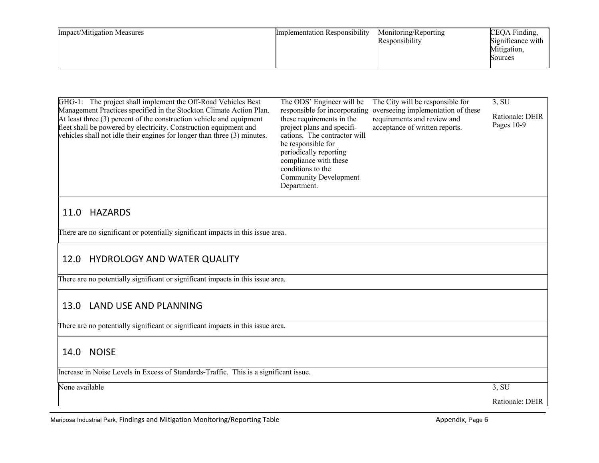| <b>Impact/Mitigation Measures</b> | <b>Implementation Responsibility</b> | Monitoring/Reporting<br>Responsibility | CEQA Finding,<br>Significance with<br>Mitigation,<br>Sources |
|-----------------------------------|--------------------------------------|----------------------------------------|--------------------------------------------------------------|
|-----------------------------------|--------------------------------------|----------------------------------------|--------------------------------------------------------------|

| GHG-1: The project shall implement the Off-Road Vehicles Best<br>Management Practices specified in the Stockton Climate Action Plan.<br>At least three (3) percent of the construction vehicle and equipment<br>fleet shall be powered by electricity. Construction equipment and<br>vehicles shall not idle their engines for longer than three (3) minutes. | The ODS' Engineer will be<br>responsible for incorporating<br>these requirements in the<br>project plans and specifi-<br>cations. The contractor will<br>be responsible for<br>periodically reporting<br>compliance with these<br>conditions to the<br><b>Community Development</b><br>Department. | The City will be responsible for<br>overseeing implementation of these<br>requirements and review and<br>acceptance of written reports. | 3, SU<br>Rationale: DEIR<br>Pages 10-9 |
|---------------------------------------------------------------------------------------------------------------------------------------------------------------------------------------------------------------------------------------------------------------------------------------------------------------------------------------------------------------|----------------------------------------------------------------------------------------------------------------------------------------------------------------------------------------------------------------------------------------------------------------------------------------------------|-----------------------------------------------------------------------------------------------------------------------------------------|----------------------------------------|
| <b>HAZARDS</b><br>11.0                                                                                                                                                                                                                                                                                                                                        |                                                                                                                                                                                                                                                                                                    |                                                                                                                                         |                                        |
| There are no significant or potentially significant impacts in this issue area.                                                                                                                                                                                                                                                                               |                                                                                                                                                                                                                                                                                                    |                                                                                                                                         |                                        |
| HYDROLOGY AND WATER QUALITY<br>12.0                                                                                                                                                                                                                                                                                                                           |                                                                                                                                                                                                                                                                                                    |                                                                                                                                         |                                        |
| There are no potentially significant or significant impacts in this issue area.                                                                                                                                                                                                                                                                               |                                                                                                                                                                                                                                                                                                    |                                                                                                                                         |                                        |
| LAND USE AND PLANNING<br>13.0                                                                                                                                                                                                                                                                                                                                 |                                                                                                                                                                                                                                                                                                    |                                                                                                                                         |                                        |
| There are no potentially significant or significant impacts in this issue area.                                                                                                                                                                                                                                                                               |                                                                                                                                                                                                                                                                                                    |                                                                                                                                         |                                        |
| <b>NOISE</b><br>14.0                                                                                                                                                                                                                                                                                                                                          |                                                                                                                                                                                                                                                                                                    |                                                                                                                                         |                                        |
| Increase in Noise Levels in Excess of Standards-Traffic. This is a significant issue.                                                                                                                                                                                                                                                                         |                                                                                                                                                                                                                                                                                                    |                                                                                                                                         |                                        |
| None available                                                                                                                                                                                                                                                                                                                                                |                                                                                                                                                                                                                                                                                                    |                                                                                                                                         | 3, SU                                  |

Rationale: DEIR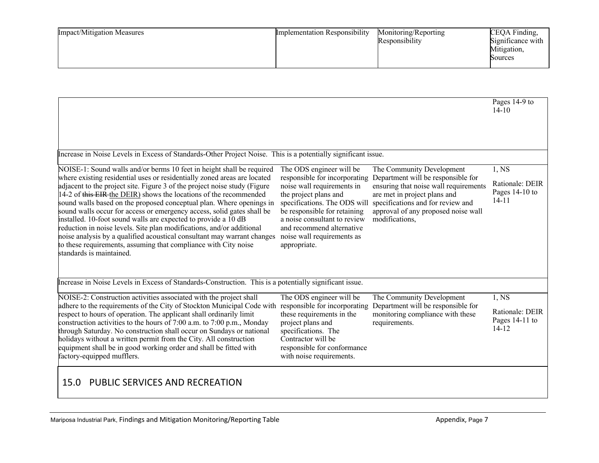| <b>Impact/Mitigation Measures</b> | <b>Implementation Responsibility</b> | Monitoring/Reporting<br>Responsibility | CEQA Finding,<br>Significance with<br>Mitigation,<br>Sources |
|-----------------------------------|--------------------------------------|----------------------------------------|--------------------------------------------------------------|
|-----------------------------------|--------------------------------------|----------------------------------------|--------------------------------------------------------------|

|                                                                                                                                                                                                                                                                                                                                                                                                                                                                                                                                                                                                                                                                                                                                                                                                     |                                                                                                                                                                                                                                 |                                                                                                                                                                                                                                                                     | Pages 14-9 to<br>$14 - 10$                               |
|-----------------------------------------------------------------------------------------------------------------------------------------------------------------------------------------------------------------------------------------------------------------------------------------------------------------------------------------------------------------------------------------------------------------------------------------------------------------------------------------------------------------------------------------------------------------------------------------------------------------------------------------------------------------------------------------------------------------------------------------------------------------------------------------------------|---------------------------------------------------------------------------------------------------------------------------------------------------------------------------------------------------------------------------------|---------------------------------------------------------------------------------------------------------------------------------------------------------------------------------------------------------------------------------------------------------------------|----------------------------------------------------------|
|                                                                                                                                                                                                                                                                                                                                                                                                                                                                                                                                                                                                                                                                                                                                                                                                     |                                                                                                                                                                                                                                 |                                                                                                                                                                                                                                                                     |                                                          |
| Increase in Noise Levels in Excess of Standards-Other Project Noise. This is a potentially significant issue.                                                                                                                                                                                                                                                                                                                                                                                                                                                                                                                                                                                                                                                                                       |                                                                                                                                                                                                                                 |                                                                                                                                                                                                                                                                     |                                                          |
| NOISE-1: Sound walls and/or berms 10 feet in height shall be required The ODS engineer will be<br>where existing residential uses or residentially zoned areas are located<br>adjacent to the project site. Figure 3 of the project noise study (Figure<br>14-2 of this EIR the DEIR) shows the locations of the recommended<br>sound walls based on the proposed conceptual plan. Where openings in<br>sound walls occur for access or emergency access, solid gates shall be<br>installed. 10-foot sound walls are expected to provide a 10 dB<br>reduction in noise levels. Site plan modifications, and/or additional<br>noise analysis by a qualified acoustical consultant may warrant changes<br>to these requirements, assuming that compliance with City noise<br>standards is maintained. | responsible for incorporating<br>noise wall requirements in<br>the project plans and<br>be responsible for retaining<br>a noise consultant to review<br>and recommend alternative<br>noise wall requirements as<br>appropriate. | The Community Development<br>Department will be responsible for<br>ensuring that noise wall requirements<br>are met in project plans and<br>specifications. The ODS will specifications and for review and<br>approval of any proposed noise wall<br>modifications, | 1,NS<br>Rationale: DEIR<br>Pages $14-10$ to<br>$14 - 11$ |
| Increase in Noise Levels in Excess of Standards-Construction. This is a potentially significant issue.                                                                                                                                                                                                                                                                                                                                                                                                                                                                                                                                                                                                                                                                                              |                                                                                                                                                                                                                                 |                                                                                                                                                                                                                                                                     |                                                          |
| NOISE-2: Construction activities associated with the project shall                                                                                                                                                                                                                                                                                                                                                                                                                                                                                                                                                                                                                                                                                                                                  | The ODS engineer will be                                                                                                                                                                                                        | The Community Development                                                                                                                                                                                                                                           | 1,NS                                                     |
| adhere to the requirements of the City of Stockton Municipal Code with responsible for incorporating Department will be responsible for<br>respect to hours of operation. The applicant shall ordinarily limit<br>construction activities to the hours of 7:00 a.m. to 7:00 p.m., Monday<br>through Saturday. No construction shall occur on Sundays or national<br>holidays without a written permit from the City. All construction<br>equipment shall be in good working order and shall be fitted with<br>factory-equipped mufflers.                                                                                                                                                                                                                                                            | these requirements in the<br>project plans and<br>specifications. The<br>Contractor will be<br>responsible for conformance<br>with noise requirements.                                                                          | monitoring compliance with these<br>requirements.                                                                                                                                                                                                                   | Rationale: DEIR<br>Pages 14-11 to<br>$14 - 12$           |
| PUBLIC SERVICES AND RECREATION<br>15.0                                                                                                                                                                                                                                                                                                                                                                                                                                                                                                                                                                                                                                                                                                                                                              |                                                                                                                                                                                                                                 |                                                                                                                                                                                                                                                                     |                                                          |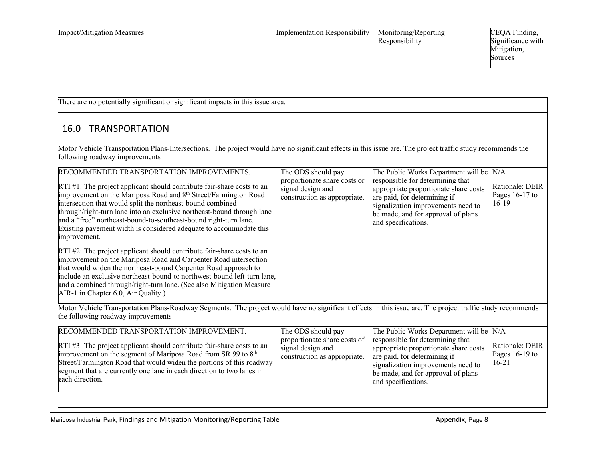| <b>Impact/Mitigation Measures</b> | <b>Implementation Responsibility</b> | Monitoring/Reporting<br>Responsibility | CEQA Finding,<br>Significance with<br>Mitigation,<br>Sources |
|-----------------------------------|--------------------------------------|----------------------------------------|--------------------------------------------------------------|
|-----------------------------------|--------------------------------------|----------------------------------------|--------------------------------------------------------------|

There are no potentially significant or significant impacts in this issue area.

### 16.0 TRANSPORTATION

Motor Vehicle Transportation Plans-Intersections. The project would have no significant effects in this issue are. The project traffic study recommends the following roadway improvements

| RECOMMENDED TRANSPORTATION IMPROVEMENTS.                                                                                                                                                                                                                                                                                                                                                                                                                           | The ODS should pay                                                                | The Public Works Department will be N/A                                                                                                                                                                      |                                              |
|--------------------------------------------------------------------------------------------------------------------------------------------------------------------------------------------------------------------------------------------------------------------------------------------------------------------------------------------------------------------------------------------------------------------------------------------------------------------|-----------------------------------------------------------------------------------|--------------------------------------------------------------------------------------------------------------------------------------------------------------------------------------------------------------|----------------------------------------------|
| $\text{RTI} \#1$ : The project applicant should contribute fair-share costs to an<br>improvement on the Mariposa Road and 8 <sup>th</sup> Street/Farmington Road<br>intersection that would split the northeast-bound combined<br>through/right-turn lane into an exclusive northeast-bound through lane<br>and a "free" northeast-bound-to-southeast-bound right-turn lane.<br>Existing pavement width is considered adequate to accommodate this<br>improvement. | proportionate share costs or<br>signal design and<br>construction as appropriate. | responsible for determining that<br>appropriate proportionate share costs<br>are paid, for determining if<br>signalization improvements need to<br>be made, and for approval of plans<br>and specifications. | Rationale: DEIR<br>Pages $16-17$ to<br>16-19 |
| RTI #2: The project applicant should contribute fair-share costs to an<br>improvement on the Mariposa Road and Carpenter Road intersection<br>that would widen the northeast-bound Carpenter Road approach to<br>include an exclusive northeast-bound-to northwest-bound left-turn lane,<br>and a combined through/right-turn lane. (See also Mitigation Measure<br>AIR-1 in Chapter 6.0, Air Quality.)                                                            |                                                                                   |                                                                                                                                                                                                              |                                              |
| Motor Vehicle Transportation Plans-Roadway Segments. The project would have no significant effects in this issue are. The project traffic study recommends<br>the following roadway improvements                                                                                                                                                                                                                                                                   |                                                                                   |                                                                                                                                                                                                              |                                              |
| RECOMMENDED TRANSPORTATION IMPROVEMENT.                                                                                                                                                                                                                                                                                                                                                                                                                            | The ODS should pay                                                                | The Public Works Department will be N/A                                                                                                                                                                      |                                              |
| RTI #3: The project applicant should contribute fair-share costs to an<br>improvement on the segment of Mariposa Road from SR 99 to 8th<br>Street/Farmington Road that would widen the portions of this roadway<br>segment that are currently one lane in each direction to two lanes in<br>each direction.                                                                                                                                                        | proportionate share costs of<br>signal design and<br>construction as appropriate. | responsible for determining that<br>appropriate proportionate share costs<br>are paid, for determining if<br>signalization improvements need to<br>be made, and for approval of plans<br>and specifications. | Rationale: DEIR<br>Pages 16-19 to<br>$16-21$ |
|                                                                                                                                                                                                                                                                                                                                                                                                                                                                    |                                                                                   |                                                                                                                                                                                                              |                                              |